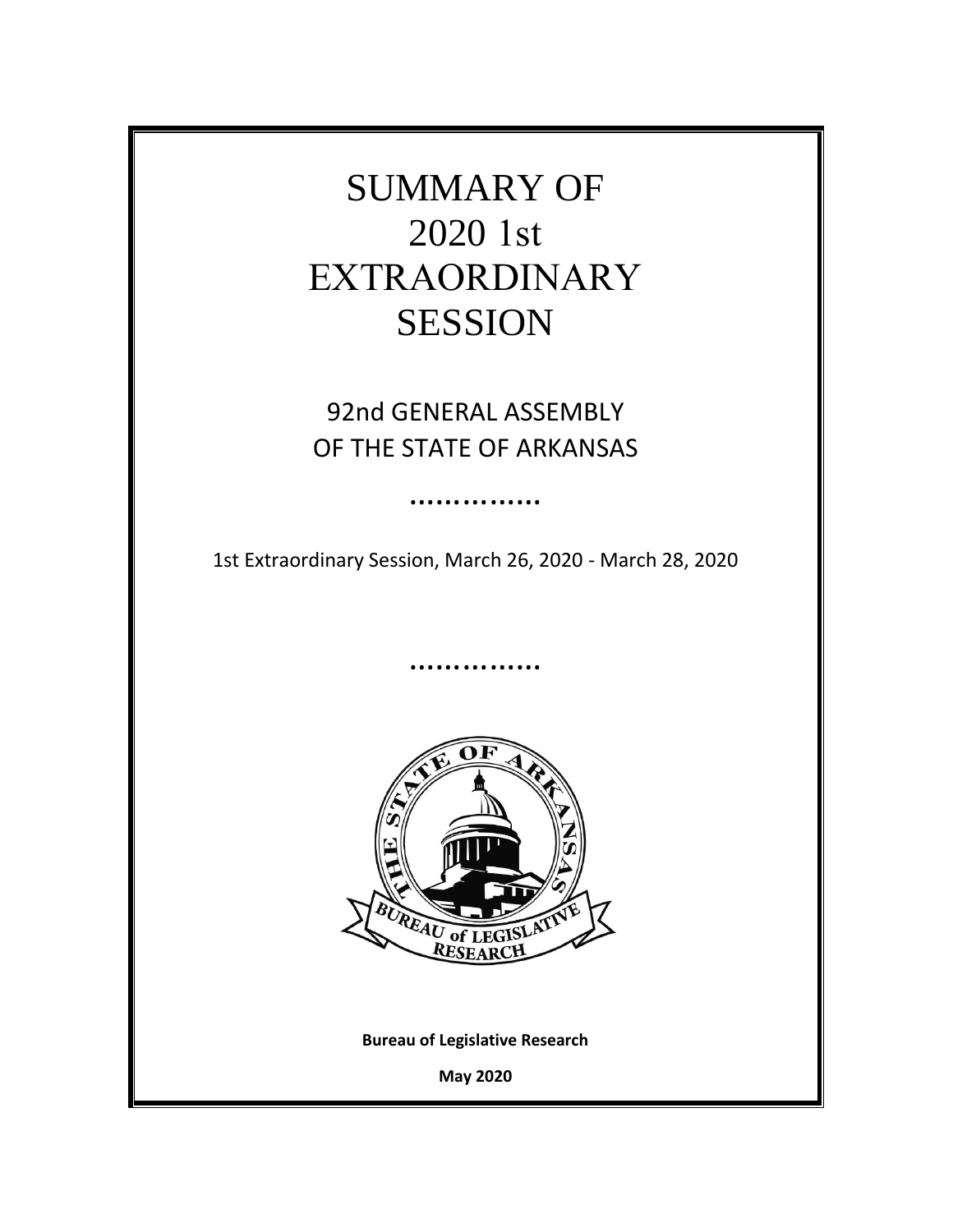

92nd GENERAL ASSEMBLY OF THE STATE OF ARKANSAS

1st Extraordinary Session, March 26, 2020 - March 28, 2020

……………

……………



**Bureau of Legislative Research**

**May 2020**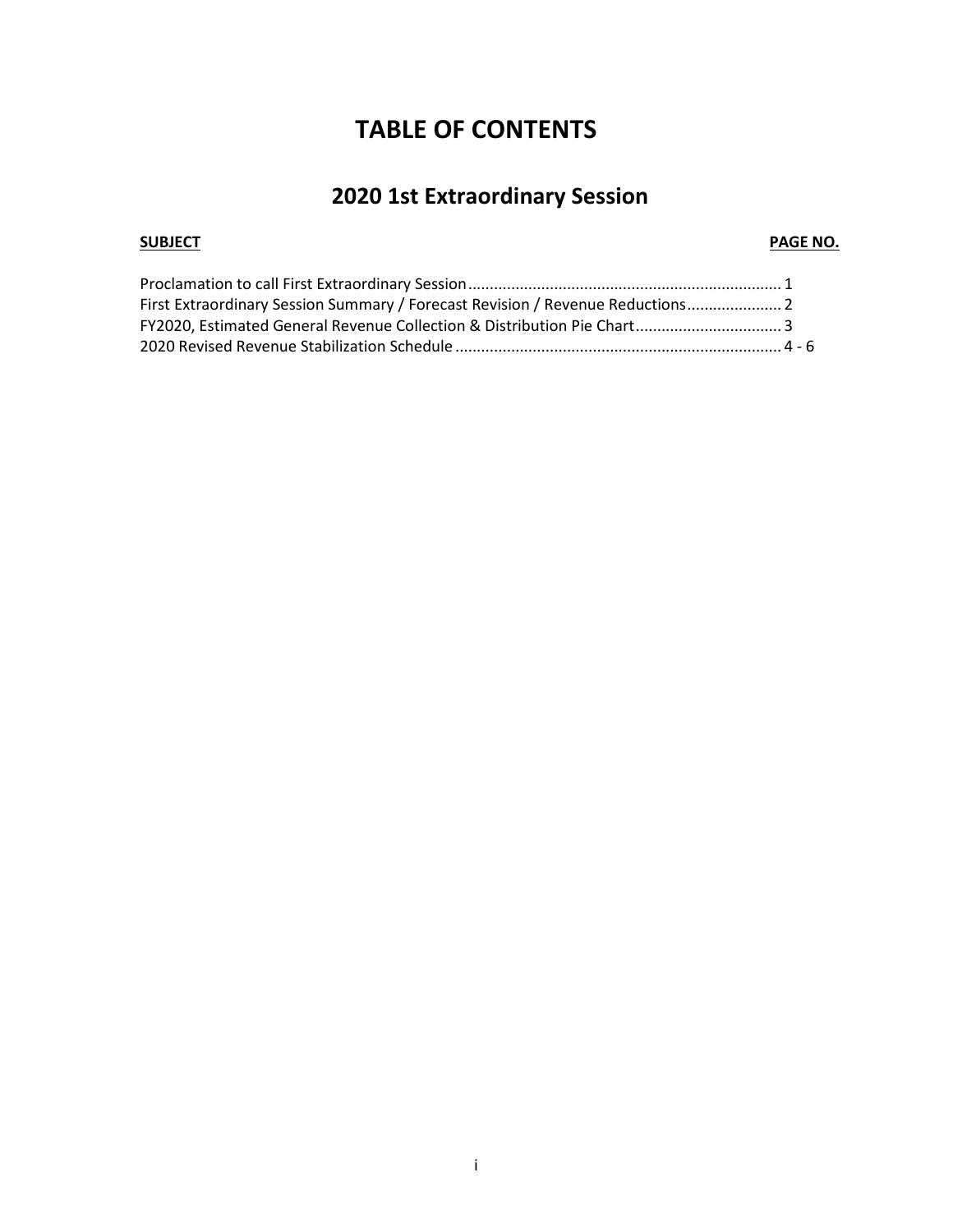# **TABLE OF CONTENTS**

# **2020 1st Extraordinary Session**

### **SUBJECT** PAGE NO.

| First Extraordinary Session Summary / Forecast Revision / Revenue Reductions 2 |  |
|--------------------------------------------------------------------------------|--|
| FY2020, Estimated General Revenue Collection & Distribution Pie Chart 3        |  |
|                                                                                |  |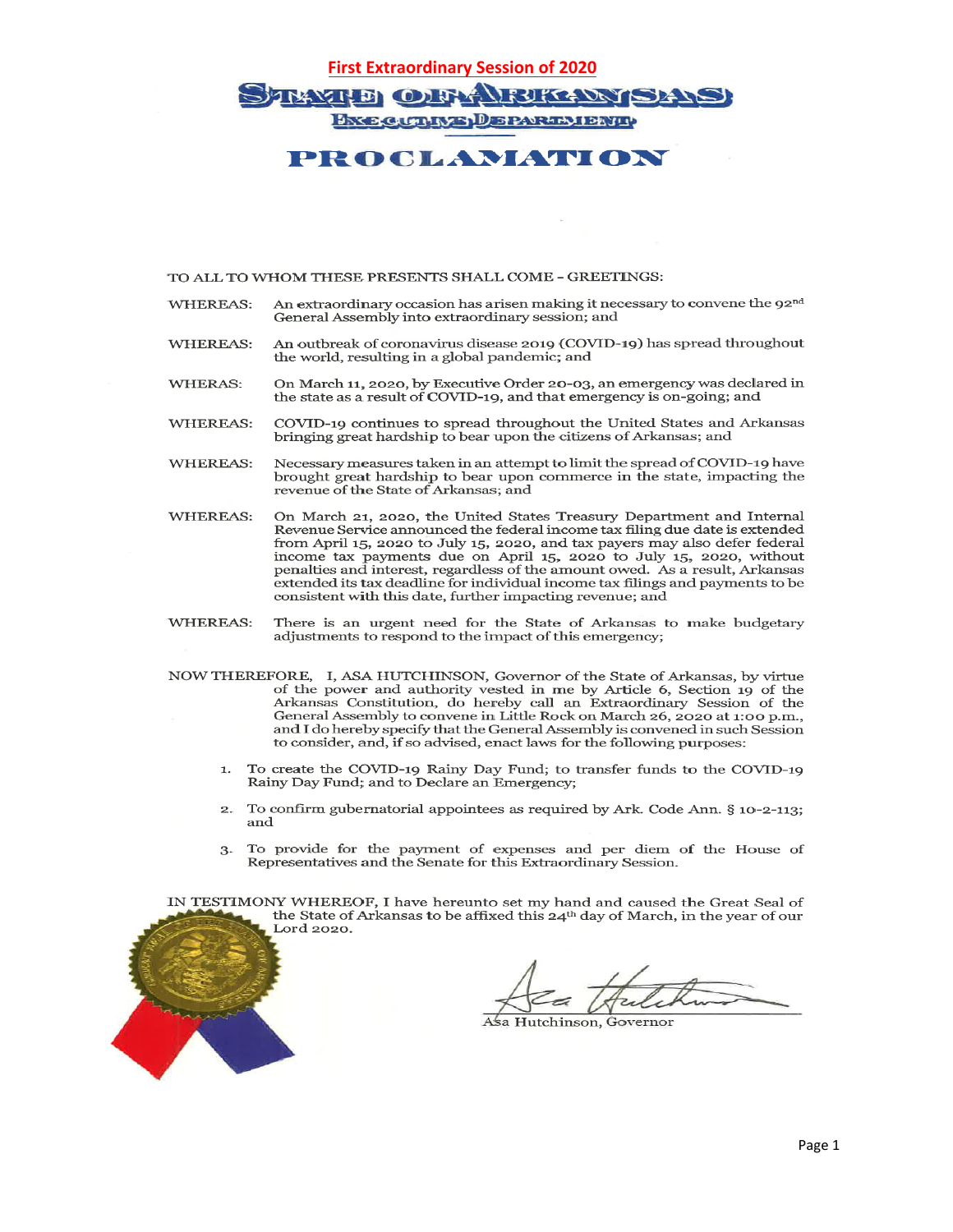## **First Extraordinary Session of 2020 TRAXILE OIF A RIKLONISLAN BY BOUTHYS DEPARTMENT!**

### **PROGLAMATION**

### TO ALL TO WHOM THESE PRESENTS SHALL COME - GREETINGS:

- An extraordinary occasion has arisen making it necessary to convene the  $92<sup>nd</sup>$ **WHEREAS:** General Assembly into extraordinary session; and
- An outbreak of coronavirus disease 2019 (COVID-19) has spread throughout **WHEREAS:** the world, resulting in a global pandemic; and
- On March 11, 2020, by Executive Order 20-03, an emergency was declared in WHERAS: the state as a result of COVID-19, and that emergency is on-going; and
- COVID-19 continues to spread throughout the United States and Arkansas **WHEREAS:** bringing great hardship to bear upon the citizens of Arkansas; and
- Necessary measures taken in an attempt to limit the spread of COVID-19 have **WHEREAS:** brought great hardship to bear upon commerce in the state, impacting the revenue of the State of Arkansas; and
- On March 21, 2020, the United States Treasury Department and Internal **WHEREAS:** Revenue Service announced the federal income tax filing due date is extended from April 15, 2020 to July 15, 2020, and tax payers may also defer federal income tax payments due on April 15, 2020 to July 15, 2020, without penalties and interest, regardless of the amount owed. As a result, Arkansas extended its tax deadline for individual income tax filings and payments to be consistent with this date, further impacting revenue; and
- **WHEREAS:** There is an urgent need for the State of Arkansas to make budgetary adjustments to respond to the impact of this emergency;
- NOW THEREFORE, I, ASA HUTCHINSON, Governor of the State of Arkansas, by virtue of the power and authority vested in me by Article 6, Section 19 of the Arkansas Constitution, do hereby call an Extraordinary Session of the General Assembly to convene in Little Rock on March 26, 2020 at 1:00 p.m., and I do hereby specify that the General Assembly is convened in such Session to consider, and, if so advised, enact laws for the following purposes:
	- To create the COVID-19 Rainy Day Fund; to transfer funds to the COVID-19  $\mathbf{1}$ . Rainy Day Fund; and to Declare an Emergency;
	- $\mathbf{2}$ . To confirm gubernatorial appointees as required by Ark. Code Ann. § 10-2-113; and
	- 3. To provide for the payment of expenses and per diem of the House of Representatives and the Senate for this Extraordinary Session.

IN TESTIMONY WHEREOF, I have hereunto set my hand and caused the Great Seal of the State of Arkansas to be affixed this 24<sup>th</sup> day of March, in the year of our Lord 2020.

utchinson, Governoı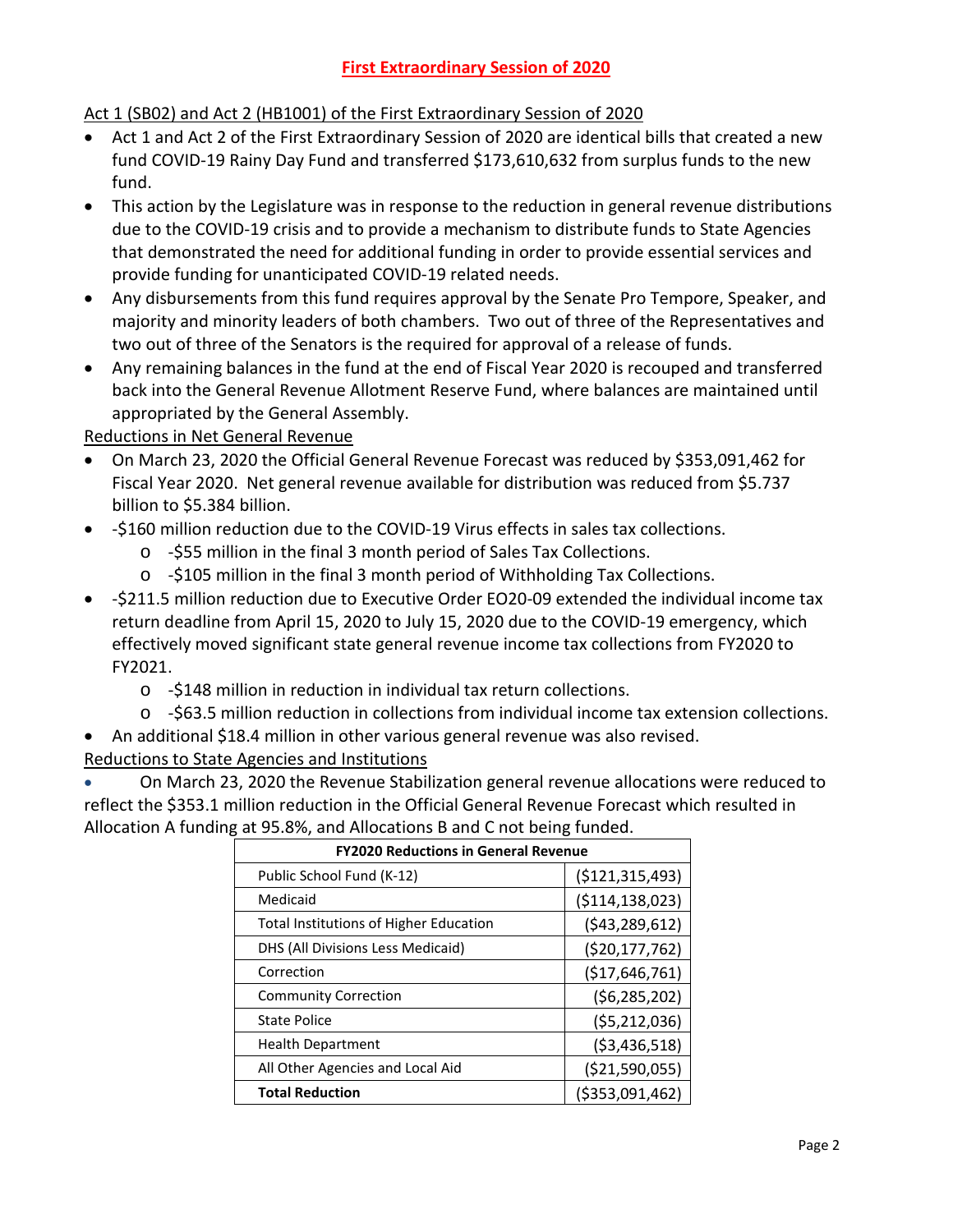### Act 1 (SB02) and Act 2 (HB1001) of the First Extraordinary Session of 2020

- Act 1 and Act 2 of the First Extraordinary Session of 2020 are identical bills that created a new fund COVID-19 Rainy Day Fund and transferred \$173,610,632 from surplus funds to the new fund.
- This action by the Legislature was in response to the reduction in general revenue distributions due to the COVID-19 crisis and to provide a mechanism to distribute funds to State Agencies that demonstrated the need for additional funding in order to provide essential services and provide funding for unanticipated COVID-19 related needs.
- Any disbursements from this fund requires approval by the Senate Pro Tempore, Speaker, and majority and minority leaders of both chambers. Two out of three of the Representatives and two out of three of the Senators is the required for approval of a release of funds.
- Any remaining balances in the fund at the end of Fiscal Year 2020 is recouped and transferred back into the General Revenue Allotment Reserve Fund, where balances are maintained until appropriated by the General Assembly.

Reductions in Net General Revenue

- On March 23, 2020 the Official General Revenue Forecast was reduced by \$353,091,462 for Fiscal Year 2020. Net general revenue available for distribution was reduced from \$5.737 billion to \$5.384 billion.
- -\$160 million reduction due to the COVID-19 Virus effects in sales tax collections.
	- o -\$55 million in the final 3 month period of Sales Tax Collections.
	- o -\$105 million in the final 3 month period of Withholding Tax Collections.
- -\$211.5 million reduction due to Executive Order EO20-09 extended the individual income tax return deadline from April 15, 2020 to July 15, 2020 due to the COVID-19 emergency, which effectively moved significant state general revenue income tax collections from FY2020 to FY2021.
	- o -\$148 million in reduction in individual tax return collections.
	- o -\$63.5 million reduction in collections from individual income tax extension collections.
- An additional \$18.4 million in other various general revenue was also revised.

Reductions to State Agencies and Institutions

• On March 23, 2020 the Revenue Stabilization general revenue allocations were reduced to reflect the \$353.1 million reduction in the Official General Revenue Forecast which resulted in Allocation A funding at 95.8%, and Allocations B and C not being funded.

| <b>FY2020 Reductions in General Revenue</b>   |                    |  |  |  |  |
|-----------------------------------------------|--------------------|--|--|--|--|
| Public School Fund (K-12)                     | ( \$121, 315, 493) |  |  |  |  |
| Medicaid                                      | ( \$114, 138, 023) |  |  |  |  |
| <b>Total Institutions of Higher Education</b> | (543, 289, 612)    |  |  |  |  |
| DHS (All Divisions Less Medicaid)             | ( \$20, 177, 762)  |  |  |  |  |
| Correction                                    | (\$17,646,761)     |  |  |  |  |
| <b>Community Correction</b>                   | (56, 285, 202)     |  |  |  |  |
| <b>State Police</b>                           | (55, 212, 036)     |  |  |  |  |
| <b>Health Department</b>                      | ( \$3,436,518)     |  |  |  |  |
| All Other Agencies and Local Aid              | ( \$21,590,055)    |  |  |  |  |
| <b>Total Reduction</b>                        | ( \$353,091,462)   |  |  |  |  |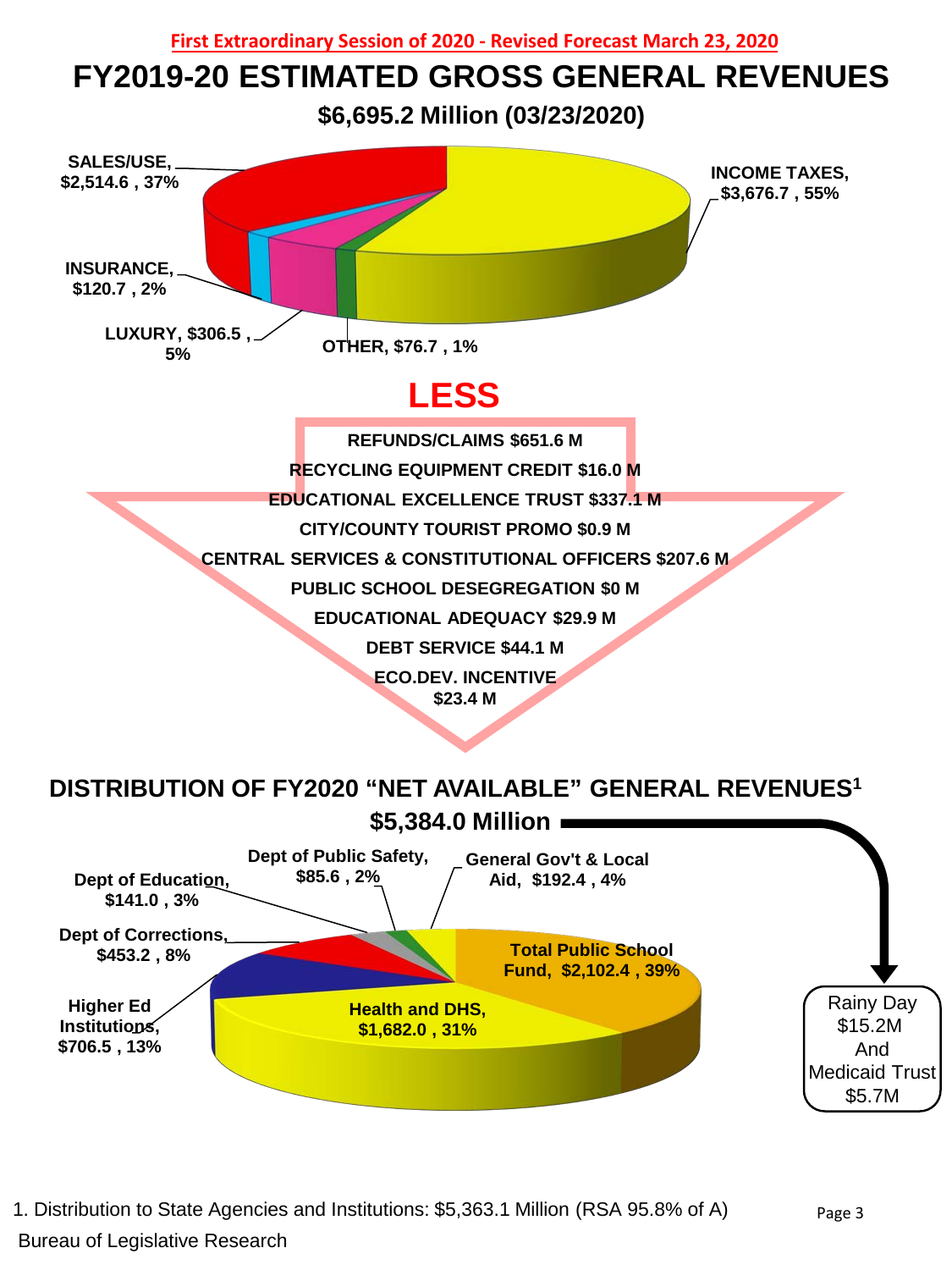

# **FY2019-20 ESTIMATED GROSS GENERAL REVENUES**

**\$6,695.2 Million (03/23/2020)**



1. Distribution to State Agencies and Institutions: \$5,363.1 Million (RSA 95.8% of A) Bureau of Legislative Research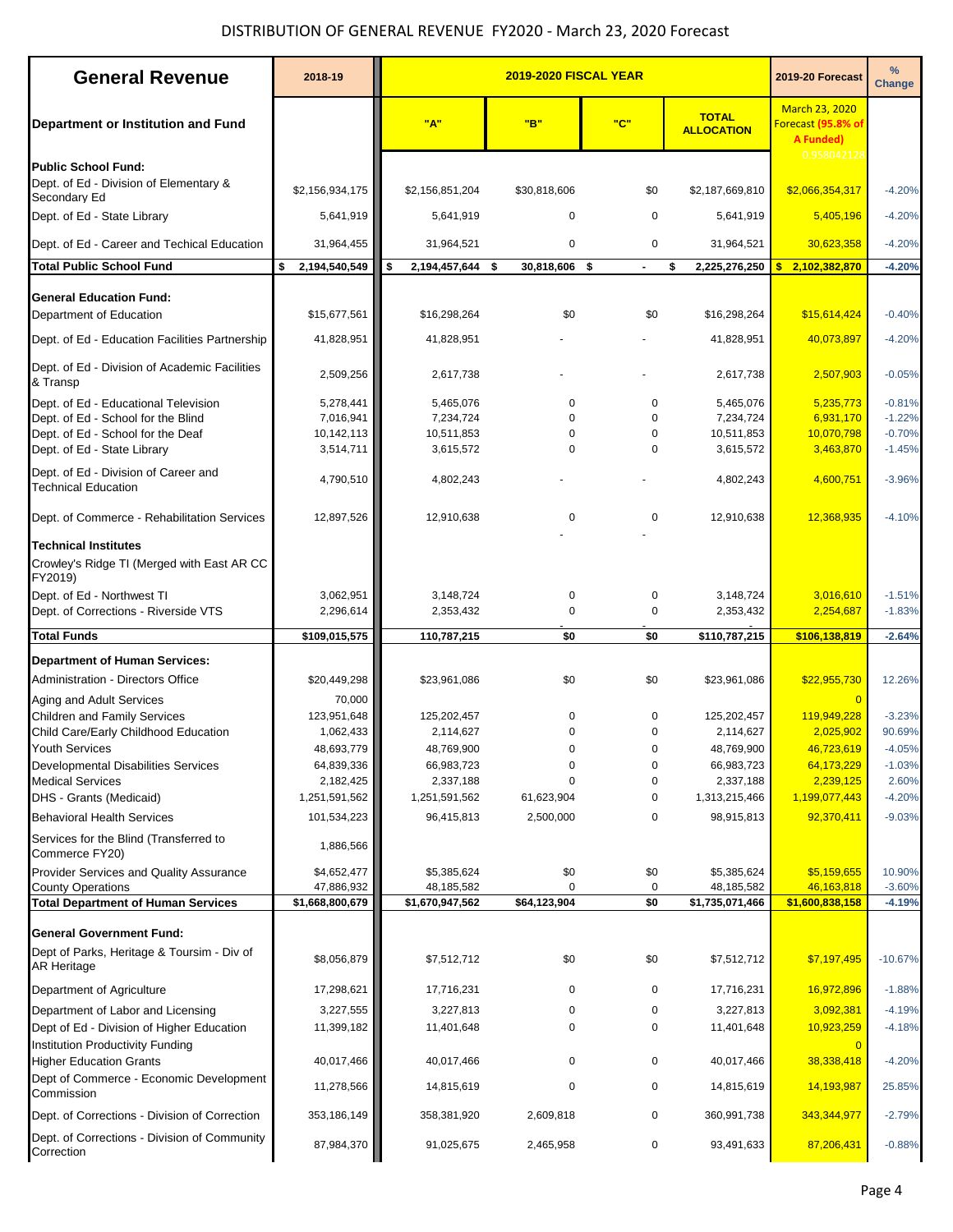## DISTRIBUTION OF GENERAL REVENUE FY2020 - March 23, 2020 Forecast

| <b>General Revenue</b>                                                               | 2018-19                   |                           | 2019-20 Forecast      | $\%$<br><b>Change</b> |                                   |                                                                 |                      |
|--------------------------------------------------------------------------------------|---------------------------|---------------------------|-----------------------|-----------------------|-----------------------------------|-----------------------------------------------------------------|----------------------|
| Department or Institution and Fund                                                   |                           | "A"                       | "B"                   | "C"                   | <b>TOTAL</b><br><b>ALLOCATION</b> | <b>March 23, 2020</b><br>Forecast (95.8% of<br><b>A Funded)</b> |                      |
| Public School Fund:                                                                  |                           |                           |                       |                       |                                   | 0.958042128                                                     |                      |
| Dept. of Ed - Division of Elementary &<br>Secondary Ed                               | \$2,156,934,175           | \$2,156,851,204           | \$30,818,606          | \$0                   | \$2,187,669,810                   | \$2,066,354,317                                                 | $-4.20%$             |
| Dept. of Ed - State Library                                                          | 5,641,919                 | 5,641,919                 | $\mathbf 0$           | 0                     | 5,641,919                         | 5,405,196                                                       | $-4.20%$             |
| Dept. of Ed - Career and Techical Education                                          | 31,964,455                | 31,964,521                | $\mathbf 0$           | 0                     | 31,964,521                        | 30,623,358                                                      | $-4.20%$             |
| <b>Total Public School Fund</b>                                                      | \$<br>2.194.540.549       | \$<br>2,194,457,644       | - \$<br>30,818,606 \$ | $\blacksquare$        | \$<br>2,225,276,250               | 2,102,382,870<br>\$                                             | $-4.20%$             |
|                                                                                      |                           |                           |                       |                       |                                   |                                                                 |                      |
| <b>General Education Fund:</b><br>Department of Education                            | \$15,677,561              | \$16,298,264              | \$0                   | \$0                   | \$16,298,264                      | \$15,614,424                                                    | $-0.40%$             |
| Dept. of Ed - Education Facilities Partnership                                       | 41,828,951                | 41,828,951                |                       |                       | 41,828,951                        | 40,073,897                                                      | $-4.20%$             |
| Dept. of Ed - Division of Academic Facilities<br>& Transp                            | 2,509,256                 | 2,617,738                 |                       |                       | 2,617,738                         | 2,507,903                                                       | $-0.05%$             |
| Dept. of Ed - Educational Television                                                 | 5,278,441                 | 5,465,076                 | $\mathbf 0$           | 0                     | 5,465,076                         | 5,235,773                                                       | $-0.81%$             |
| Dept. of Ed - School for the Blind                                                   | 7,016,941                 | 7,234,724                 | $\mathbf 0$           | $\mathbf 0$           | 7,234,724                         | 6,931,170                                                       | $-1.22%$             |
| Dept. of Ed - School for the Deaf                                                    | 10,142,113                | 10,511,853                | $\mathbf 0$           | 0                     | 10,511,853                        | 10,070,798                                                      | $-0.70%$             |
| Dept. of Ed - State Library                                                          | 3,514,711                 | 3,615,572                 | $\Omega$              | $\mathbf 0$           | 3,615,572                         | 3,463,870                                                       | $-1.45%$             |
| Dept. of Ed - Division of Career and<br><b>Technical Education</b>                   | 4,790,510                 | 4,802,243                 |                       |                       | 4,802,243                         | 4,600,751                                                       | $-3.96%$             |
| Dept. of Commerce - Rehabilitation Services                                          | 12,897,526                | 12,910,638                | $\mathbf 0$           | 0                     | 12,910,638                        | 12,368,935                                                      | $-4.10%$             |
| <b>Technical Institutes</b><br>Crowley's Ridge TI (Merged with East AR CC<br>FY2019) |                           |                           |                       |                       |                                   |                                                                 |                      |
| Dept. of Ed - Northwest TI<br>Dept. of Corrections - Riverside VTS                   | 3,062,951<br>2,296,614    | 3,148,724<br>2,353,432    | 0<br>$\mathbf 0$      | 0<br>0                | 3,148,724<br>2,353,432            | 3,016,610<br>2,254,687                                          | $-1.51%$<br>$-1.83%$ |
| <b>Total Funds</b>                                                                   | \$109,015,575             | 110,787,215               | \$0                   | \$0                   | \$110,787,215                     | \$106,138,819                                                   | $-2.64%$             |
| <b>Department of Human Services:</b>                                                 |                           |                           |                       |                       |                                   |                                                                 |                      |
| Administration - Directors Office                                                    | \$20,449,298              | \$23,961,086              | \$0                   | \$0                   | \$23,961,086                      | \$22,955,730                                                    | 12.26%               |
| Aging and Adult Services                                                             | 70,000                    |                           |                       |                       |                                   | $\Omega$                                                        |                      |
| Children and Family Services                                                         | 123,951,648               | 125,202,457               | 0                     | 0                     | 125,202,457                       | 119,949,228                                                     | $-3.23%$             |
| Child Care/Early Childhood Education                                                 | 1,062,433                 | 2,114,627                 | 0                     | $\mathbf 0$           | 2,114,627                         | 2,025,902                                                       | 90.69%               |
| <b>Youth Services</b>                                                                | 48,693,779                | 48,769,900                | $\Omega$              | $\Omega$              | 48,769,900                        | 46,723,619                                                      | $-4.05%$             |
| Developmental Disabilities Services                                                  | 64,839,336                | 66,983,723                | 0                     | 0                     | 66,983,723                        | 64,173,229                                                      | $-1.03%$             |
| <b>Medical Services</b>                                                              | 2,182,425                 | 2,337,188                 | 0                     | 0                     | 2,337,188                         | 2,239,125                                                       | 2.60%                |
| DHS - Grants (Medicaid)                                                              | 1,251,591,562             | 1,251,591,562             | 61,623,904            | 0                     | 1,313,215,466                     | 1,199,077,443                                                   | $-4.20%$             |
| <b>Behavioral Health Services</b><br>Services for the Blind (Transferred to          | 101,534,223               | 96,415,813                | 2,500,000             | 0                     | 98,915,813                        | 92,370,411                                                      | $-9.03%$             |
| Commerce FY20)                                                                       | 1,886,566                 |                           |                       |                       |                                   |                                                                 |                      |
| <b>Provider Services and Quality Assurance</b><br><b>County Operations</b>           | \$4,652,477<br>47,886,932 | \$5,385,624<br>48,185,582 | \$0<br>$\mathbf 0$    | \$0<br>0              | \$5,385,624<br>48,185,582         | \$5,159,655<br>46,163,818                                       | 10.90%<br>$-3.60%$   |
| <b>Total Department of Human Services</b>                                            | \$1,668,800,679           | \$1,670,947,562           | \$64,123,904          | \$0                   | \$1,735,071,466                   | \$1,600,838,158                                                 | $-4.19%$             |
| <b>General Government Fund:</b>                                                      |                           |                           |                       |                       |                                   |                                                                 |                      |
| Dept of Parks, Heritage & Toursim - Div of<br><b>AR Heritage</b>                     | \$8,056,879               | \$7,512,712               | \$0                   | \$0                   | \$7,512,712                       | \$7,197,495                                                     | $-10.67%$            |
| Department of Agriculture                                                            | 17,298,621                | 17,716,231                | 0                     | 0                     | 17,716,231                        | 16,972,896                                                      | $-1.88%$             |
| Department of Labor and Licensing                                                    | 3,227,555                 | 3,227,813                 | 0                     | 0                     | 3,227,813                         | 3,092,381                                                       | $-4.19%$             |
| Dept of Ed - Division of Higher Education<br>Institution Productivity Funding        | 11,399,182                | 11,401,648                | $\mathbf 0$           | 0                     | 11,401,648                        | 10,923,259                                                      | $-4.18%$             |
| <b>Higher Education Grants</b>                                                       | 40,017,466                | 40,017,466                | 0                     | 0                     | 40,017,466                        | 38,338,418                                                      | $-4.20%$             |
| Dept of Commerce - Economic Development<br>Commission                                | 11,278,566                | 14,815,619                | 0                     | 0                     | 14,815,619                        | 14,193,987                                                      | 25.85%               |
| Dept. of Corrections - Division of Correction                                        | 353,186,149               | 358,381,920               | 2,609,818             | 0                     | 360,991,738                       | 343,344,977                                                     | $-2.79%$             |
| Dept. of Corrections - Division of Community<br>Correction                           | 87,984,370                | 91,025,675                | 2,465,958             | 0                     | 93,491,633                        | 87,206,431                                                      | $-0.88%$             |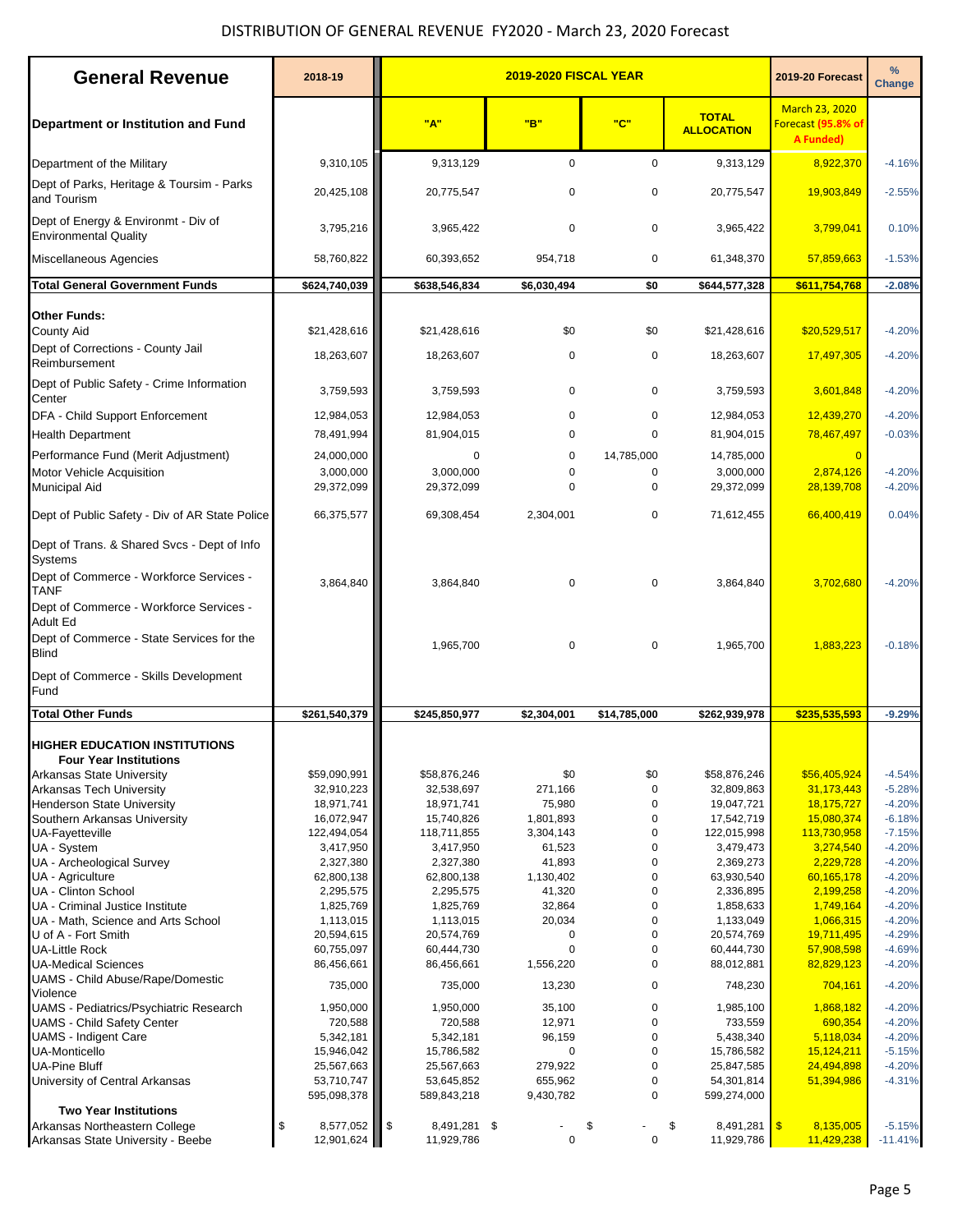## DISTRIBUTION OF GENERAL REVENUE FY2020 - March 23, 2020 Forecast

| <b>General Revenue</b>                                                                                                  | 2018-19                       | <b>2019-2020 FISCAL YEAR</b>             |                     |                          |                                   | 2019-20 Forecast                                         | $\frac{9}{6}$<br>Change |
|-------------------------------------------------------------------------------------------------------------------------|-------------------------------|------------------------------------------|---------------------|--------------------------|-----------------------------------|----------------------------------------------------------|-------------------------|
| Department or Institution and Fund                                                                                      |                               | "A"                                      | "B"                 | "C"                      | <b>TOTAL</b><br><b>ALLOCATION</b> | <b>March 23, 2020</b><br>Forecast (95.8% of<br>A Funded) |                         |
| Department of the Military                                                                                              | 9,310,105                     | 9,313,129                                | $\mathbf 0$         | $\mathbf 0$              | 9,313,129                         | 8,922,370                                                | $-4.16%$                |
| Dept of Parks, Heritage & Toursim - Parks<br>and Tourism                                                                | 20,425,108                    | 20,775,547                               | $\mathbf 0$         | $\mathbf 0$              | 20,775,547                        | 19,903,849                                               | $-2.55%$                |
| Dept of Energy & Environmt - Div of<br><b>Environmental Quality</b>                                                     | 3,795,216                     | 3,965,422                                | $\mathbf 0$         | $\mathbf 0$              | 3,965,422                         | 3,799,041                                                | 0.10%                   |
| Miscellaneous Agencies                                                                                                  | 58,760,822                    | 60,393,652                               | 954,718             | $\mathbf 0$              | 61,348,370                        | 57,859,663                                               | $-1.53%$                |
| <b>Total General Government Funds</b>                                                                                   | \$624,740,039                 | \$638,546,834                            | \$6,030,494         | \$0                      | \$644,577,328                     | \$611,754,768                                            | $-2.08%$                |
| <b>Other Funds:</b><br>County Aid                                                                                       | \$21,428,616                  | \$21,428,616                             | \$0                 | \$0                      | \$21,428,616                      | \$20,529,517                                             | $-4.20%$                |
| Dept of Corrections - County Jail<br>Reimbursement                                                                      | 18,263,607                    | 18,263,607                               | $\mathbf 0$         | 0                        | 18,263,607                        | 17,497,305                                               | $-4.20%$                |
| Dept of Public Safety - Crime Information<br>Center                                                                     | 3,759,593                     | 3,759,593                                | 0                   | 0                        | 3,759,593                         | 3,601,848                                                | $-4.20%$                |
| DFA - Child Support Enforcement                                                                                         | 12,984,053                    | 12,984,053                               | $\mathbf 0$         | $\mathbf 0$              | 12,984,053                        | 12,439,270                                               | $-4.20%$                |
| <b>Health Department</b>                                                                                                | 78,491,994                    | 81,904,015                               | $\mathbf 0$         | $\mathbf 0$              | 81,904,015                        | 78,467,497                                               | $-0.03%$                |
| Performance Fund (Merit Adjustment)<br><b>Motor Vehicle Acquisition</b>                                                 | 24,000,000<br>3,000,000       | 0<br>3,000,000                           | 0<br>$\mathbf 0$    | 14,785,000<br>0          | 14,785,000<br>3,000,000           | $\overline{0}$<br>2,874,126                              | $-4.20%$                |
| <b>Municipal Aid</b>                                                                                                    | 29,372,099                    | 29,372,099                               | $\Omega$            | $\mathbf 0$              | 29,372,099                        | 28,139,708                                               | $-4.20%$                |
| Dept of Public Safety - Div of AR State Police                                                                          | 66,375,577                    | 69,308,454                               | 2,304,001           | $\mathbf 0$              | 71,612,455                        | 66,400,419                                               | 0.04%                   |
| Dept of Trans. & Shared Svcs - Dept of Info<br><b>Systems</b><br>Dept of Commerce - Workforce Services -<br><b>TANF</b> | 3,864,840                     | 3,864,840                                | $\mathbf 0$         | $\mathbf 0$              | 3,864,840                         | 3,702,680                                                | $-4.20%$                |
| Dept of Commerce - Workforce Services -<br>Adult Ed                                                                     |                               |                                          |                     |                          |                                   |                                                          |                         |
| Dept of Commerce - State Services for the<br><b>Blind</b>                                                               |                               | 1,965,700                                | $\mathbf 0$         | $\mathbf 0$              | 1,965,700                         | 1,883,223                                                | $-0.18%$                |
| Dept of Commerce - Skills Development<br>Fund                                                                           |                               |                                          |                     |                          |                                   |                                                          |                         |
| <b>Total Other Funds</b>                                                                                                | \$261,540,379                 | \$245,850,977                            | \$2,304,001         | \$14,785,000             | \$262,939,978                     | \$235,535,593                                            | $-9.29%$                |
| <b>HIGHER EDUCATION INSTITUTIONS</b>                                                                                    |                               |                                          |                     |                          |                                   |                                                          |                         |
| <b>Four Year Institutions</b><br>Arkansas State University                                                              | \$59,090,991                  | \$58,876,246                             | \$0                 | \$0                      | \$58,876,246                      | \$56,405,924                                             | $-4.54%$                |
| Arkansas Tech University                                                                                                | 32,910,223                    | 32,538,697                               | 271,166             | $\pmb{0}$                | 32,809,863                        | 31,173,443                                               | $-5.28%$                |
| <b>Henderson State University</b>                                                                                       | 18,971,741                    | 18,971,741                               | 75,980              | $\mathbf 0$              | 19,047,721                        | 18,175,727                                               | $-4.20%$                |
| Southern Arkansas University                                                                                            | 16,072,947                    | 15,740,826                               | 1,801,893           | 0                        | 17,542,719                        | 15,080,374                                               | $-6.18%$                |
| <b>UA-Fayetteville</b><br>UA - System                                                                                   | 122,494,054<br>3,417,950      | 118,711,855<br>3,417,950                 | 3,304,143<br>61,523 | $\mathbf 0$<br>$\pmb{0}$ | 122,015,998<br>3,479,473          | 113,730,958<br>3,274,540                                 | $-7.15%$<br>$-4.20%$    |
| UA - Archeological Survey                                                                                               | 2,327,380                     | 2,327,380                                | 41,893              | 0                        | 2,369,273                         | 2,229,728                                                | $-4.20%$                |
| UA - Agriculture                                                                                                        | 62,800,138                    | 62,800,138                               | 1,130,402           | $\pmb{0}$                | 63,930,540                        | 60,165,178                                               | $-4.20%$                |
| UA - Clinton School                                                                                                     | 2,295,575                     | 2,295,575                                | 41,320              | 0                        | 2,336,895                         | 2,199,258                                                | $-4.20%$                |
| UA - Criminal Justice Institute                                                                                         | 1,825,769                     | 1,825,769                                | 32,864              | 0                        | 1,858,633                         | 1,749,164                                                | $-4.20%$                |
| UA - Math, Science and Arts School                                                                                      | 1,113,015                     | 1,113,015                                | 20,034              | 0                        | 1,133,049                         | 1,066,315                                                | $-4.20%$                |
| U of A - Fort Smith                                                                                                     | 20,594,615                    | 20,574,769                               | 0                   | $\mathbf 0$              | 20,574,769                        | 19,711,495                                               | $-4.29%$                |
| <b>UA-Little Rock</b>                                                                                                   | 60,755,097                    | 60,444,730                               | $\mathbf 0$         | 0                        | 60,444,730                        | 57,908,598                                               | $-4.69%$                |
| <b>UA-Medical Sciences</b><br>UAMS - Child Abuse/Rape/Domestic                                                          | 86,456,661                    | 86,456,661                               | 1,556,220           | $\mathbf 0$              | 88,012,881                        | 82,829,123                                               | $-4.20%$                |
| Violence<br>UAMS - Pediatrics/Psychiatric Research                                                                      | 735,000<br>1,950,000          | 735,000<br>1,950,000                     | 13,230<br>35,100    | 0<br>0                   | 748,230<br>1,985,100              | 704,161<br>1,868,182                                     | $-4.20%$<br>$-4.20%$    |
| <b>UAMS - Child Safety Center</b>                                                                                       | 720,588                       | 720,588                                  | 12,971              | 0                        | 733,559                           | 690,354                                                  | $-4.20%$                |
| <b>UAMS</b> - Indigent Care                                                                                             | 5,342,181                     | 5,342,181                                | 96,159              | $\mathbf 0$              | 5,438,340                         | 5,118,034                                                | $-4.20%$                |
| <b>UA-Monticello</b>                                                                                                    | 15,946,042                    | 15,786,582                               | 0                   | 0                        | 15,786,582                        | 15,124,211                                               | $-5.15%$                |
| <b>UA-Pine Bluff</b>                                                                                                    | 25,567,663                    | 25,567,663                               | 279,922             | $\mathbf 0$              | 25,847,585                        | 24,494,898                                               | $-4.20%$                |
| University of Central Arkansas                                                                                          | 53,710,747                    | 53,645,852                               | 655,962             | $\pmb{0}$                | 54,301,814                        | 51,394,986                                               | $-4.31%$                |
|                                                                                                                         | 595,098,378                   | 589,843,218                              | 9,430,782           | 0                        | 599,274,000                       |                                                          |                         |
| <b>Two Year Institutions</b>                                                                                            |                               |                                          |                     |                          |                                   |                                                          | $-5.15%$                |
| Arkansas Northeastern College<br>Arkansas State University - Beebe                                                      | 8,577,052<br>\$<br>12,901,624 | $\sqrt{3}$<br>8,491,281 \$<br>11,929,786 | $\mathbf 0$         | \$<br>$\mathbf 0$        | \$<br>8,491,281 \$<br>11,929,786  | 8,135,005<br>11,429,238                                  | $-11.41%$               |
|                                                                                                                         |                               |                                          |                     |                          |                                   |                                                          |                         |